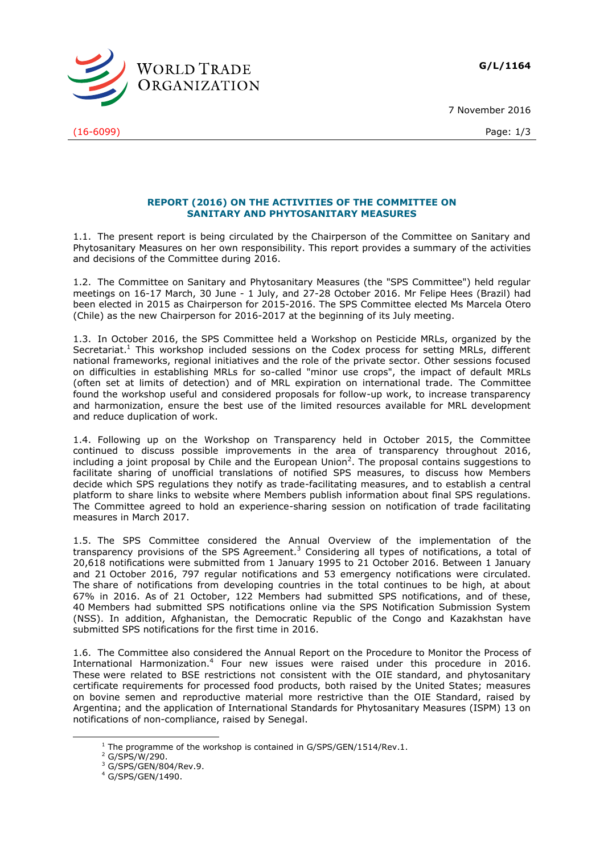**G/L/1164**



(16-6099) Page: 1/3

7 November 2016

## **REPORT (2016) ON THE ACTIVITIES OF THE COMMITTEE ON SANITARY AND PHYTOSANITARY MEASURES**

1.1. The present report is being circulated by the Chairperson of the Committee on Sanitary and Phytosanitary Measures on her own responsibility. This report provides a summary of the activities and decisions of the Committee during 2016.

1.2. The Committee on Sanitary and Phytosanitary Measures (the "SPS Committee") held regular meetings on 16-17 March, 30 June - 1 July, and 27-28 October 2016. Mr Felipe Hees (Brazil) had been elected in 2015 as Chairperson for 2015-2016. The SPS Committee elected Ms Marcela Otero (Chile) as the new Chairperson for 2016-2017 at the beginning of its July meeting.

1.3. In October 2016, the SPS Committee held a Workshop on Pesticide MRLs, organized by the Secretariat.<sup>1</sup> This workshop included sessions on the Codex process for setting MRLs, different national frameworks, regional initiatives and the role of the private sector. Other sessions focused on difficulties in establishing MRLs for so-called "minor use crops", the impact of default MRLs (often set at limits of detection) and of MRL expiration on international trade. The Committee found the workshop useful and considered proposals for follow-up work, to increase transparency and harmonization, ensure the best use of the limited resources available for MRL development and reduce duplication of work.

1.4. Following up on the Workshop on Transparency held in October 2015, the Committee continued to discuss possible improvements in the area of transparency throughout 2016, including a joint proposal by Chile and the European Union<sup>2</sup>. The proposal contains suggestions to facilitate sharing of unofficial translations of notified SPS measures, to discuss how Members decide which SPS regulations they notify as trade-facilitating measures, and to establish a central platform to share links to website where Members publish information about final SPS regulations. The Committee agreed to hold an experience-sharing session on notification of trade facilitating measures in March 2017.

1.5. The SPS Committee considered the Annual Overview of the implementation of the transparency provisions of the SPS Agreement.<sup>3</sup> Considering all types of notifications, a total of 20,618 notifications were submitted from 1 January 1995 to 21 October 2016. Between 1 January and 21 October 2016, 797 regular notifications and 53 emergency notifications were circulated. The share of notifications from developing countries in the total continues to be high, at about 67% in 2016. As of 21 October, 122 Members had submitted SPS notifications, and of these, 40 Members had submitted SPS notifications online via the SPS Notification Submission System (NSS). In addition, Afghanistan, the Democratic Republic of the Congo and Kazakhstan have submitted SPS notifications for the first time in 2016.

1.6. The Committee also considered the Annual Report on the Procedure to Monitor the Process of International Harmonization.<sup>4</sup> Four new issues were raised under this procedure in 2016. These were related to BSE restrictions not consistent with the OIE standard, and phytosanitary certificate requirements for processed food products, both raised by the United States; measures on bovine semen and reproductive material more restrictive than the OIE Standard, raised by Argentina; and the application of International Standards for Phytosanitary Measures (ISPM) 13 on notifications of non-compliance, raised by Senegal.

-

 $1$  The programme of the workshop is contained in G/SPS/GEN/1514/Rev.1.

<sup>2</sup> G/SPS/W/290.

<sup>3</sup> G/SPS/GEN/804/Rev.9.

<sup>4</sup> G/SPS/GEN/1490.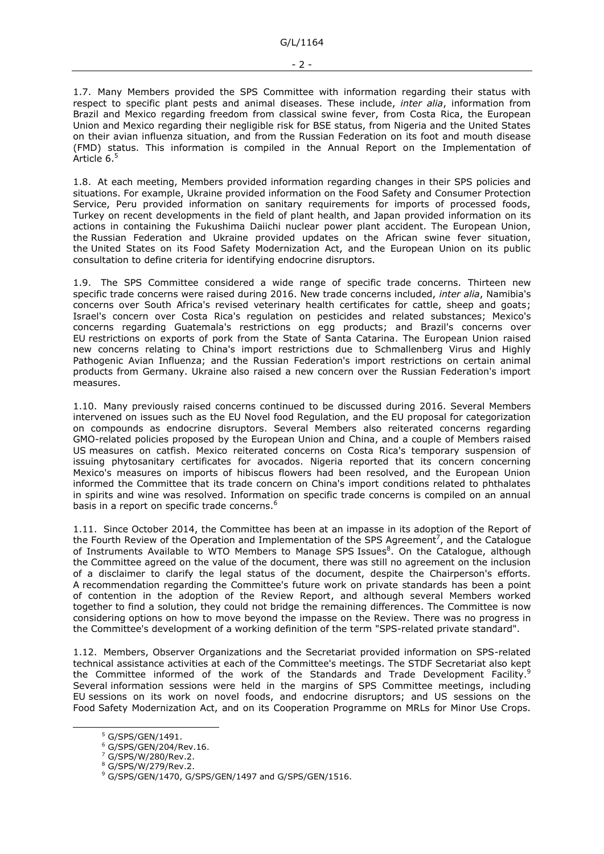1.7. Many Members provided the SPS Committee with information regarding their status with respect to specific plant pests and animal diseases. These include, *inter alia*, information from Brazil and Mexico regarding freedom from classical swine fever, from Costa Rica, the European Union and Mexico regarding their negligible risk for BSE status, from Nigeria and the United States on their avian influenza situation, and from the Russian Federation on its foot and mouth disease (FMD) status. This information is compiled in the Annual Report on the Implementation of Article 6.<sup>5</sup>

1.8. At each meeting, Members provided information regarding changes in their SPS policies and situations. For example, Ukraine provided information on the Food Safety and Consumer Protection Service, Peru provided information on sanitary requirements for imports of processed foods, Turkey on recent developments in the field of plant health, and Japan provided information on its actions in containing the Fukushima Daiichi nuclear power plant accident. The European Union, the Russian Federation and Ukraine provided updates on the African swine fever situation, the United States on its Food Safety Modernization Act, and the European Union on its public consultation to define criteria for identifying endocrine disruptors.

1.9. The SPS Committee considered a wide range of specific trade concerns. Thirteen new specific trade concerns were raised during 2016. New trade concerns included, *inter alia*, Namibia's concerns over South Africa's revised veterinary health certificates for cattle, sheep and goats; Israel's concern over Costa Rica's regulation on pesticides and related substances; Mexico's concerns regarding Guatemala's restrictions on egg products; and Brazil's concerns over EU restrictions on exports of pork from the State of Santa Catarina. The European Union raised new concerns relating to China's import restrictions due to Schmallenberg Virus and Highly Pathogenic Avian Influenza; and the Russian Federation's import restrictions on certain animal products from Germany. Ukraine also raised a new concern over the Russian Federation's import measures.

1.10. Many previously raised concerns continued to be discussed during 2016. Several Members intervened on issues such as the EU Novel food Regulation, and the EU proposal for categorization on compounds as endocrine disruptors. Several Members also reiterated concerns regarding GMO-related policies proposed by the European Union and China, and a couple of Members raised US measures on catfish. Mexico reiterated concerns on Costa Rica's temporary suspension of issuing phytosanitary certificates for avocados. Nigeria reported that its concern concerning Mexico's measures on imports of hibiscus flowers had been resolved, and the European Union informed the Committee that its trade concern on China's import conditions related to phthalates in spirits and wine was resolved. Information on specific trade concerns is compiled on an annual basis in a report on specific trade concerns.<sup>6</sup>

1.11. Since October 2014, the Committee has been at an impasse in its adoption of the Report of the Fourth Review of the Operation and Implementation of the SPS Agreement<sup>7</sup>, and the Catalogue of Instruments Available to WTO Members to Manage SPS Issues<sup>8</sup>. On the Catalogue, although the Committee agreed on the value of the document, there was still no agreement on the inclusion of a disclaimer to clarify the legal status of the document, despite the Chairperson's efforts. A recommendation regarding the Committee's future work on private standards has been a point of contention in the adoption of the Review Report, and although several Members worked together to find a solution, they could not bridge the remaining differences. The Committee is now considering options on how to move beyond the impasse on the Review. There was no progress in the Committee's development of a working definition of the term "SPS-related private standard".

1.12. Members, Observer Organizations and the Secretariat provided information on SPS-related technical assistance activities at each of the Committee's meetings. The STDF Secretariat also kept the Committee informed of the work of the Standards and Trade Development Facility.<sup>9</sup> Several information sessions were held in the margins of SPS Committee meetings, including EU sessions on its work on novel foods, and endocrine disruptors; and US sessions on the Food Safety Modernization Act, and on its Cooperation Programme on MRLs for Minor Use Crops.

-

<sup>5</sup> G/SPS/GEN/1491.

<sup>6</sup> G/SPS/GEN/204/Rev.16.

<sup>7</sup> G/SPS/W/280/Rev.2.

<sup>8</sup> G/SPS/W/279/Rev.2.

<sup>9</sup> G/SPS/GEN/1470, G/SPS/GEN/1497 and G/SPS/GEN/1516.